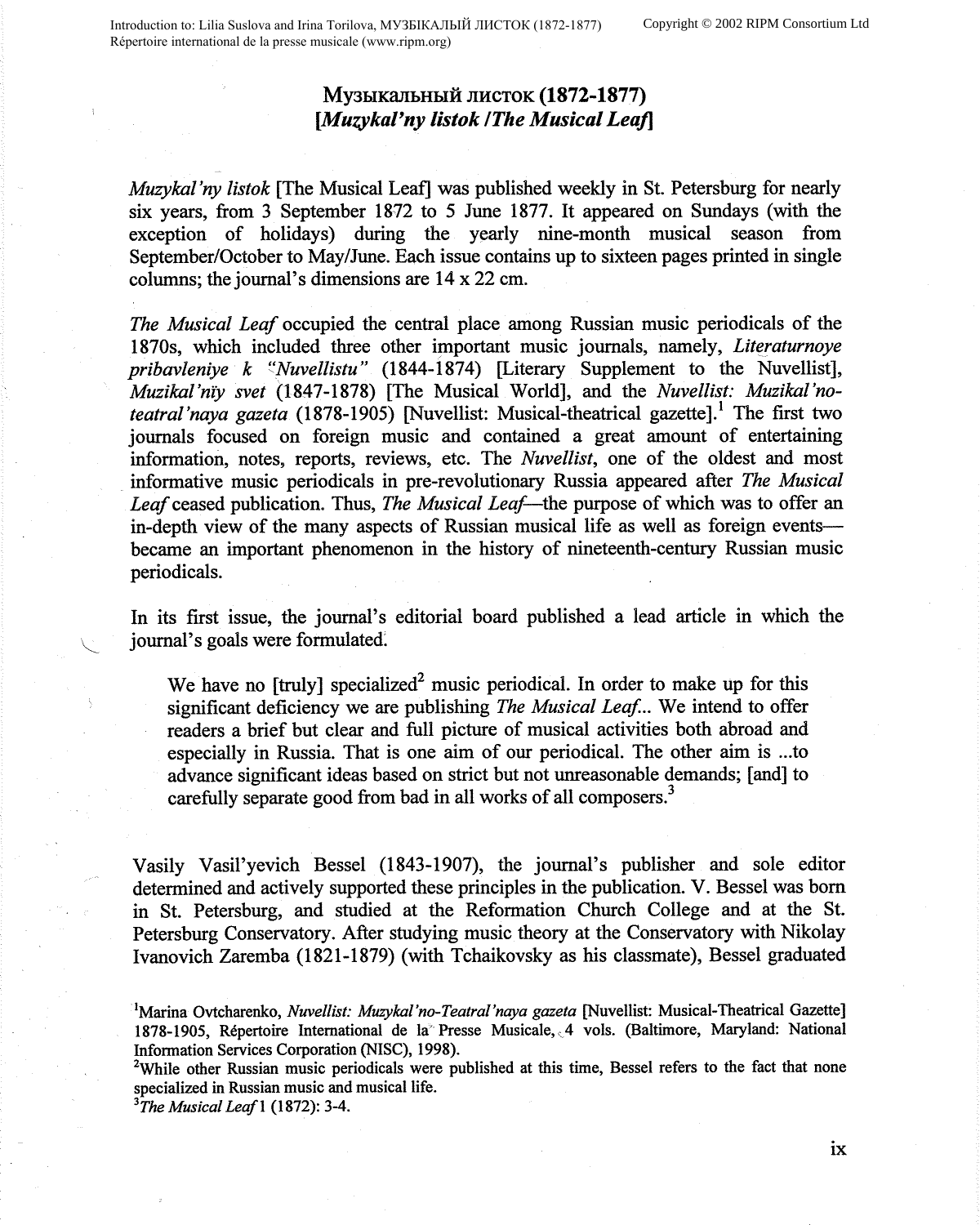## My3bIKa.JlbHbIH JIHCTOK **(1872-1877)**  *[Muzykal'ny listok /The Musical Leaf]*

*Muzyka! 'ny listok* [The Musical Leaf] was published weekly in St. Petersburg for nearly six years, from 3 September 1872 to 5 June 1877. It appeared on Sundays (with the exception of holidays) during the yearly nine-month musical season from September/October to May/June. Each issue contains up to sixteen pages printed in single columns; the journal's dimensions are 14 x 22 cm.

*The Musical Leaf* occupied the central place among Russian music periodicals of the 1870s, which included three other important music journals, namely, *Literaturnoye pribavleniye k "Nuvellistu"* (1844-1874) [Literary Supplement to the Nuvellist], *Muzikal'niy svet* (1847-1878) [The Musical World], and the *Nuvellist: Muzikal'noteatral'naya gazeta* (1878-1905) [Nuvellist: Musical-theatrical gazette].<sup>1</sup> The first two journals focused on foreign music and contained a great amount of entertaining information, notes, reports, reviews, etc. The *Nuvellist,* one of the oldest and most informative music periodicals in pre-revolutionary Russia appeared after *The Musical Leaf* ceased publication. Thus, *The Musical Leaf-the* purpose of which was to offer an in-depth view of the many aspects of Russian musical life as well as foreign events--became an important phenomenon in the history of nineteenth-century Russian music periodicals.

In its first issue, the journal's editorial board published a lead article in which the journal's goals were formulated.

We have no [truly] specialized<sup>2</sup> music periodical. In order to make up for this significant deficiency we are publishing *The Musical Leaf. ..* We intend to offer readers a brief but clear and full picture of musical activities both abroad and especially in Russia. That is one aim of our periodical. The other aim is ... to advance significant ideas based on strict but not unreasonable demands; [ and] to carefully separate good from bad in all works of all composers.<sup>3</sup>

Vasily Vasil'yevich Bessel (1843-1907), the journal's publisher and sole editor determined and actively supported these principles in the publication. V. Bessel was born in St. Petersburg, and studied at the Reformation Church College and at the St. Petersburg Conservatory. After studying music theory at the Conservatory with Nikolay Ivanovich Zaremba (1821-1879) (with Tchaikovsky as his classmate), Bessel graduated

<sup>2</sup>While other Russian music periodicals were published at this time, Bessel refers to the fact that none specialized in Russian music and musical life.

*3 The Musical Lea/I* (1872): 3-4.

<sup>1</sup> Marina Ovtcharenko, *Nuvellist: Muzyka[ 'no-Teatral 'naya gazeta* [Nuvellist: Musical-Theatrical Gazette] 1878-1905, Répertoire International de la Presse Musicale, 4 vols. (Baltimore, Maryland: National Information Services Corporation (NISC), 1998).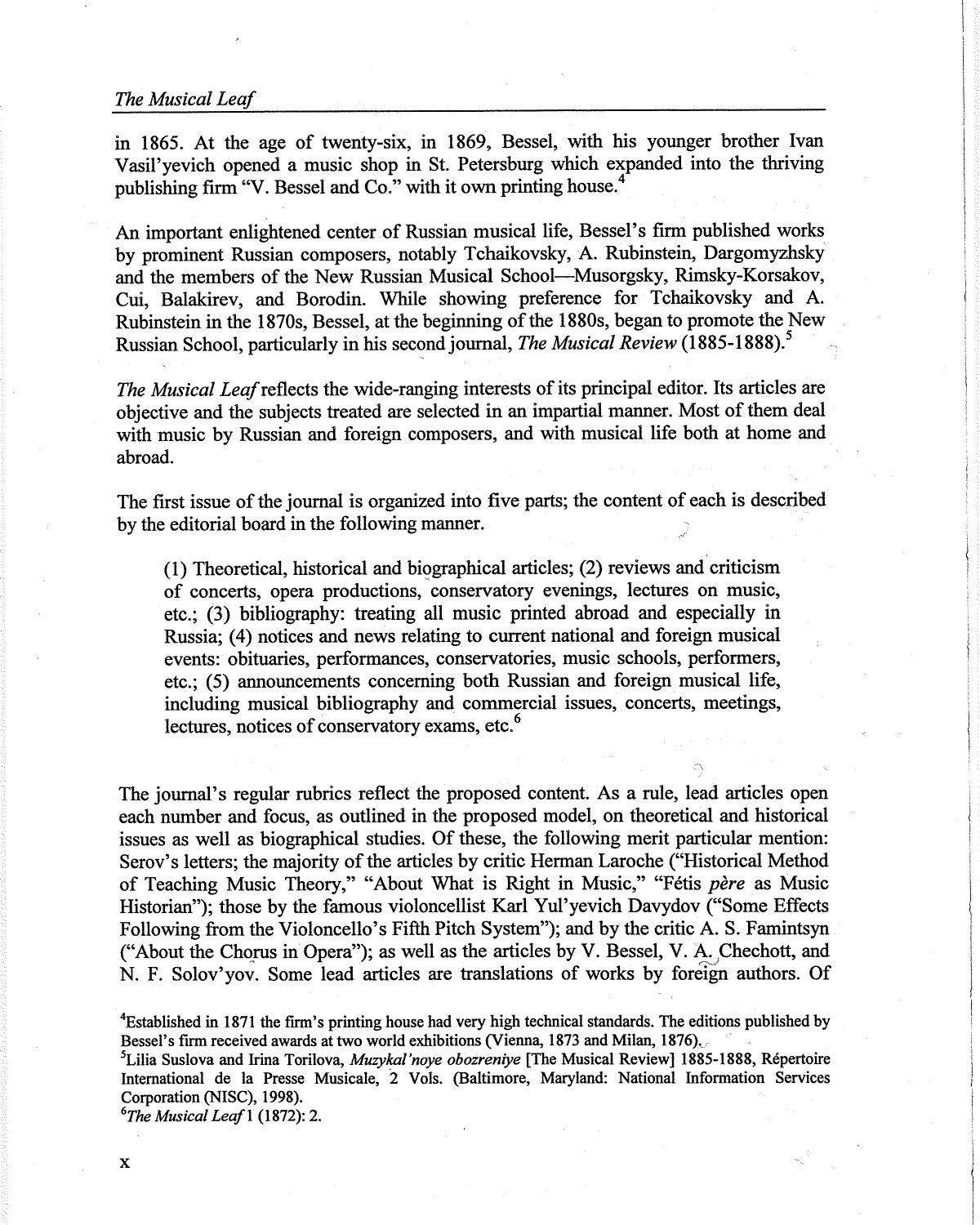## *The Musical Leaf*

in 1865. At the age of twenty-six, in 1869, Bessel, with his younger brother Ivan Vasil'yevich opened a music shop in St. Petersburg which expanded into the thriving publishing firm "V. Bessel and Co." with it own printing house.<sup>4</sup>

An important enlightened center of Russian musical life, Bessel's firm published works by prominent Russian composers, notably Tchaikovsky, A. Rubinstein, Dargomyzhsky and the members of the New Russian Musical School-Musorgsky, Rimsky-Korsakov, Cui, Balakirev, and Borodin. While showing preference for Tchaikovsky and A. Rubinstein in the 1870s, Bessel, at the beginning of the 1880s, began to promote the New Russian School, particularly in his second journal, *The Musical Review* **(1885-1888). <sup>5</sup>**

*The Musical Leaf* reflects the wide-ranging interests of its principal editor. Its articles are objective and the subjects treated are selected in an impartial manner. Most of them deal with music by Russian and foreign composers, and with musical life both at home and abroad.

The first issue of the journal is organized into five parts; the content of each is described by the editorial board in the following manner.

 $(1)$  Theoretical, historical and biographical articles;  $(2)$  reviews and criticism of concerts, opera productions, conservatory evenings, lectures on music, etc.; (3) bibliography: treating all music printed abroad and especially in Russia; (4) notices and news relating to current national and foreign musical events: obituaries, performances, conservatories, music schools, performers, etc.; (5) announcements concerning both Russian and foreign musical life, including musical bibliography and commercial issues, concerts, meetings, lectures, notices of conservatory exams, etc.<sup>6</sup>

The journal's regular rubrics reflect the proposed content. As a rule, lead articles open each number and focus, as outlined in the proposed model, on theoretical and historical issues as well as biographical studies. Of these, the following merit particular mention: Serov's letters; the majority of the articles by critic Herman Laroche ("Historical Method of Teaching Music Theory," "About What is Right in Music," "Fetis *pere* as Music Historian"); those by the famous violoncellist Karl Yul'yevich Davydov ("Some Effects Following from the Violoncello's Fifth Pitch System"); and by the critic A. S. Famintsyn ("About the Chorus in Opera"); as well as the articles by V. Bessel, V. A. Chechott, and N. F. Solov'yov. Some lead articles are translations of works by foreign authors. Of

*6 The Musical Leafl* (1872): 2.

<sup>4</sup> Established in 1871 the firm's printing house had very high technical standards. The editions published by Bessel's firm received awards at two world exhibitions (Vienna, 1873 and Milan, 1876).

<sup>5</sup> Lilia Suslova and Irina Torilova, *Muzykal'noye obozreniye* [The Musical Review] 1885-1888, Repertoire International de la Presse Musicale, 2 Vols. (Baltimore, Maryland: National Information Services Corporation (NISC), 1998).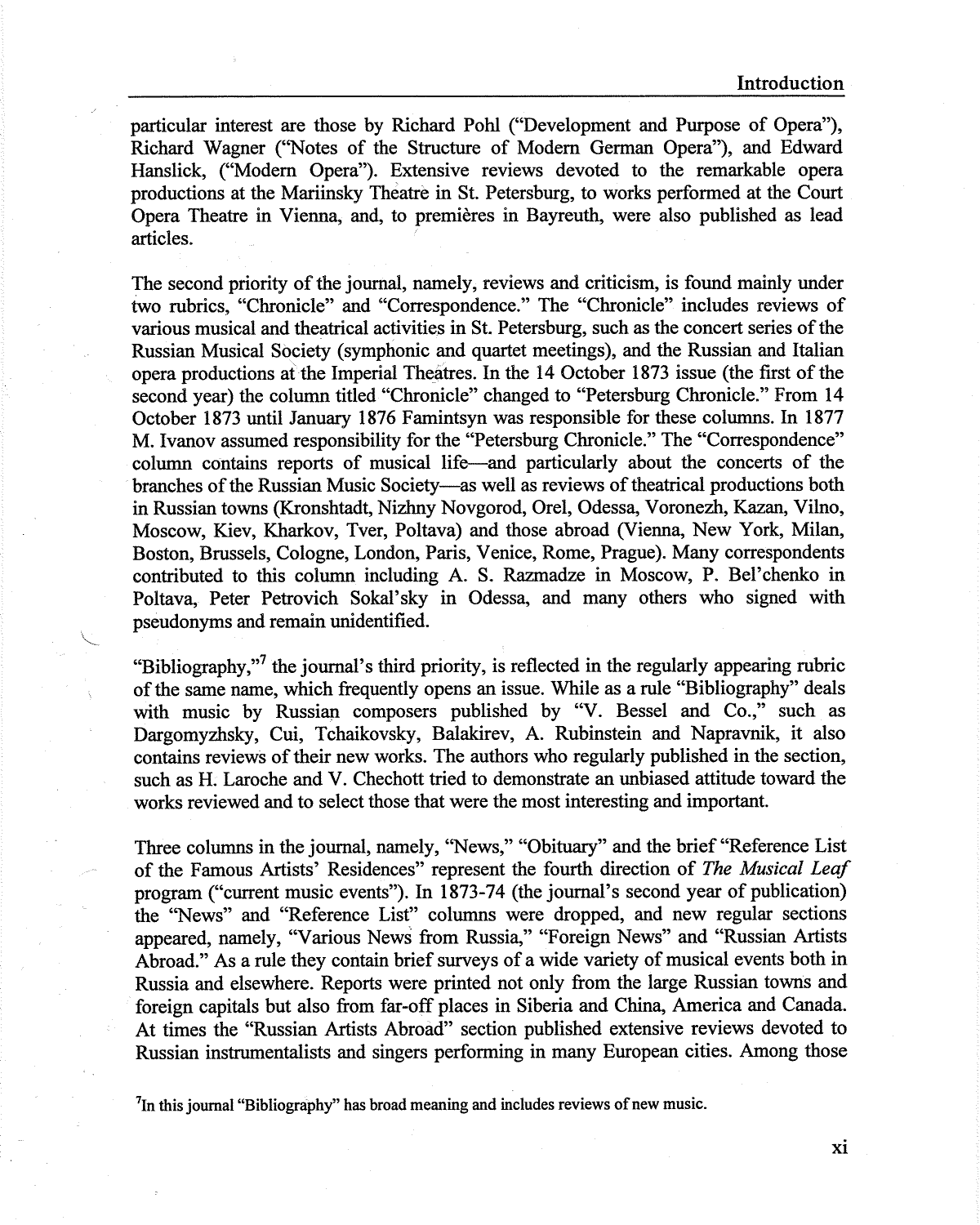particular interest are those by Richard Pohl ("Development and Purpose of Opera"), Richard Wagner (''Notes of the Structure of Modem German Opera"), and Edward Hanslick, ("Modem Opera"). Extensive reviews devoted to the remarkable opera productions at the Mariinsky Theatre in St. Petersburg, to works performed at the Court Opera Theatre in Vienna, and, to premieres in Bayreuth, were also published as lead articles.

The second priority of the journal, namely, reviews and criticism, is found mainly under two rubrics, "Chronicle" and "Correspondence." The "Chronicle" includes reviews of various musical and theatrical activities in St. Petersburg, such as the concert series of the Russian Musical Society (symphonic and quartet meetings), and the Russian and Italian opera productions at the Imperial Theatres. In the 14 October 1873 issue (the first of the second year) the column titled "Chronicle" changed to "Petersburg Chronicle." From 14 October 1873 until January 1876 Famintsyn was responsible for these columns. In 1877 M. Ivanov assumed responsibility for the "Petersburg Chronicle." The "Correspondence" column contains reports of musical life-and particularly about the concerts of the branches of the Russian Music Society--as well as reviews of theatrical productions both in Russian towns (Kronshtadt, Nizhny Novgorod, Orel, Odessa, Voronezh, Kazan, Vilno, Moscow, Kiev, Kharkov, Tver, Poltava) and those abroad (Vienna, New York, Milan, Boston, Brussels, Cologne, London, Paris, Venice, Rome, Prague). Many correspondents contributed to this column including A. S. Razmadze in Moscow, P. Bel'chenko in Poltava, Peter Petrovich Sokal'sky in Odessa, and many others who signed with pseudonyms and remain unidentified.

"Bibliography,"<sup>7</sup> the journal's third priority, is reflected in the regularly appearing rubric of the same name, which frequently opens an issue. While as a rule "Bibliography" deals with music by Russian composers published by "V. Bessel and Co.," such as Dargomyzhsky, Cui, Tchaikovsky, Balakirev, A. Rubinstein and Napravnik, it also contains reviews of their new works. The authors who regularly published in the section, such as H. Laroche and V. Chechott tried to demonstrate an unbiased attitude toward the works reviewed and to select those that were the most interesting and important.

Three columns in the journal, namely, "News," "Obituary" and the brief "Reference List of the Famous Artists' Residences" represent the fourth direction of *The Musical Leaf*  program ("current music events"). In 1873-74 (the journal's second year of publication) the "News" and "Reference List" columns were dropped, and new regular sections appeared, namely, "Various News from Russia," "Foreign News" and "Russian Artists Abroad." As a rule they contain brief surveys of a wide variety of musical events both in Russia and elsewhere. Reports were printed not only from the large Russian towns and foreign capitals but also from far-off places in Siberia and China, America and Canada. At times the "Russian Artists Abroad" section published extensive reviews devoted to Russian instrumentalists and singers performing in many European cities. Among those

 $<sup>7</sup>$ In this journal "Bibliography" has broad meaning and includes reviews of new music.</sup>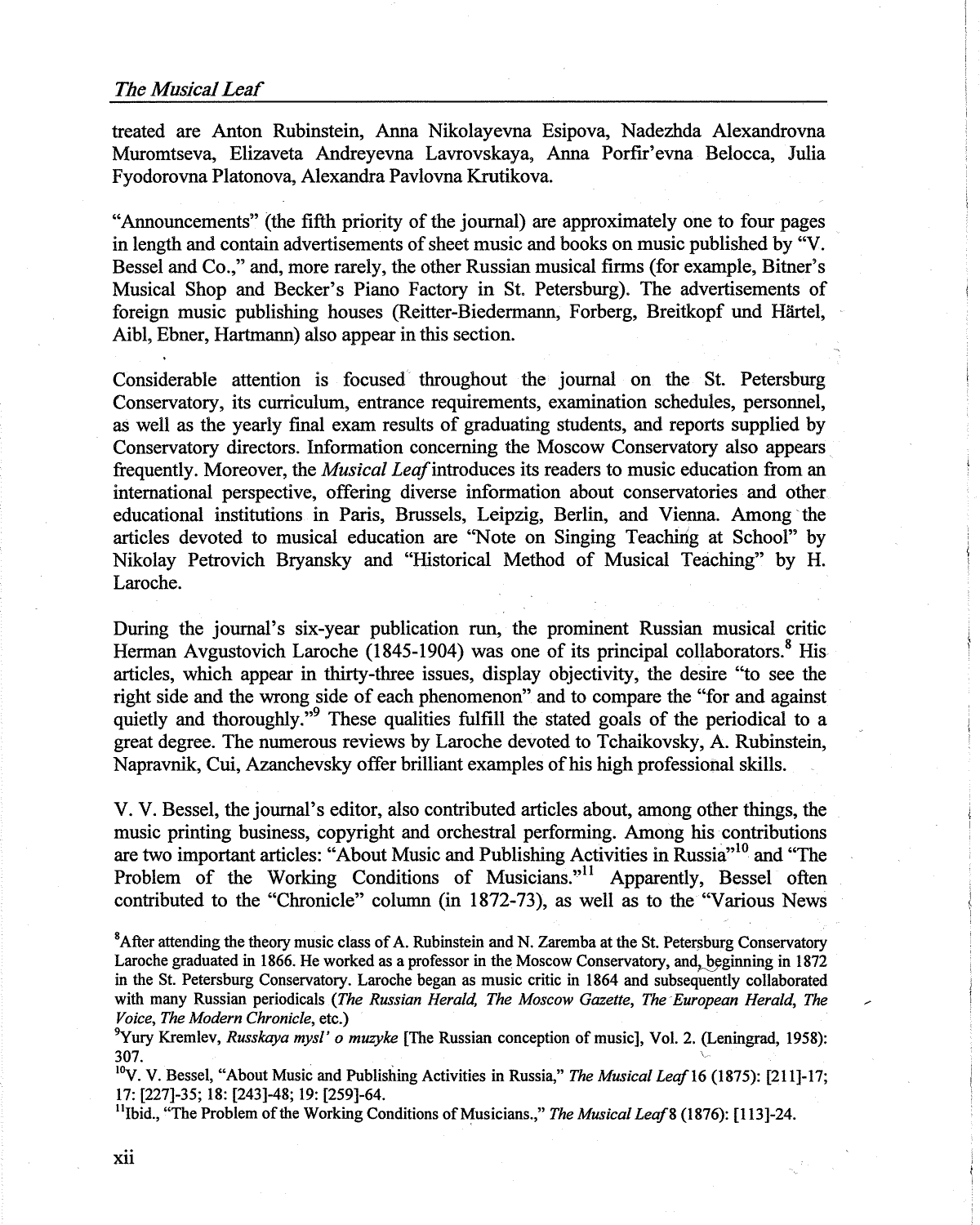treated are Anton Rubinstein, Anna Nikolayevna Esipova, Nadezhda Alexandrovna Muromtseva, Elizaveta Andreyevna Lavrovskaya, Anna Porfir' evna Belocca, Julia Fyodorovna Platonova, Alexandra Pavlovna Krutikova.

"Announcements" (the fifth priority of the journal) are approximately one to four pages in length and contain advertisements of sheet music and books on music published by "V. Bessel and Co.," and, more rarely, the other Russian musical firms (for example, Bitner's Musical Shop and Becker's Piano Factory in St. Petersburg). The advertisements of foreign music publishing houses (Reitter-Biedermann, Forberg, Breitkopf und Hartel, Aibl, Ebner, Hartmann) also appear in this section.

Considerable attention is focused throughout the journal on the St. Petersburg Conservatory, its curriculum, entrance requirements, examination schedules, personnel, as well as the yearly final exam results of graduating students, and reports supplied by Conservatory directors. Information concerning the Moscow Conservatory also appears frequently. Moreover, the *Musical Leaf* introduces its readers to music education from an international perspective, offering diverse information about conservatories and other educational institutions in Paris, Brussels, Leipzig, Berlin, and Vienna. Among the articles devoted to musical education are ''Note on Singing Teaching at School" by Nikolay Petrovich Bryansky and "Historical Method of Musical Teaching" by H. Laroche.

During the journal's six-year publication run, the prominent Russian musical critic Herman Avgustovich Laroche (1845-1904) was one of its principal collaborators.<sup>8</sup> His articles, which appear in thirty-three issues, display objectivity, the desire "to see the right side and the wrong side of each phenomenon" and to compare the "for and against quietly and thoroughly."<sup>9</sup> These qualities fulfill the stated goals of the periodical to a great degree. The numerous reviews by Laroche devoted to Tchaikovsky, A. Rubinstein, Napravnik, Cui, Azanchevsky offer brilliant examples of his high professional skills.

V. V. Bessel, the journal's editor, also contributed articles about, among other things, the music printing business, copyright and orchestral performing. Among his contributions are two important articles: "About Music and Publishing Activities in Russia"<sup>10</sup> and "The Problem of the Working Conditions of Musicians."<sup>11</sup> Apparently, Bessel often contributed to the "Chronicle" column (in 1872-73), as well as to the "Various News

 ${}^{8}$ After attending the theory music class of A. Rubinstein and N. Zaremba at the St. Petersburg Conservatory Laroche graduated in 1866. He worked as a professor in the Moscow Conservatory, and, beginning in 1872 in the St. Petersburg Conservatory. Laroche began as music critic in 1864 and subsequently collaborated with many Russian periodicals *(The Russian Herald, The Moscow Gazette, The European Herald, The Voice, The Modern Chronicle,* etc.) <sup>9</sup>

<sup>9</sup>Yury Kremlev, *Russkaya mysl' o muzyke* [The Russian conception of music], Vol. 2. (Leningrad, 1958): 307.

<sup>10</sup>V. V. Bessel, "About Music and Publishing Activities in Russia," *The Musical Leaf* 16 (1875): [211]-17; 17: [227]-35; 18: [243]-48; 19: [259]-64.

<sup>11</sup>Ibid., "The Problem of the Working Conditions of Musicians.," *The Musical Leaf* 8 (1876): [113]-24.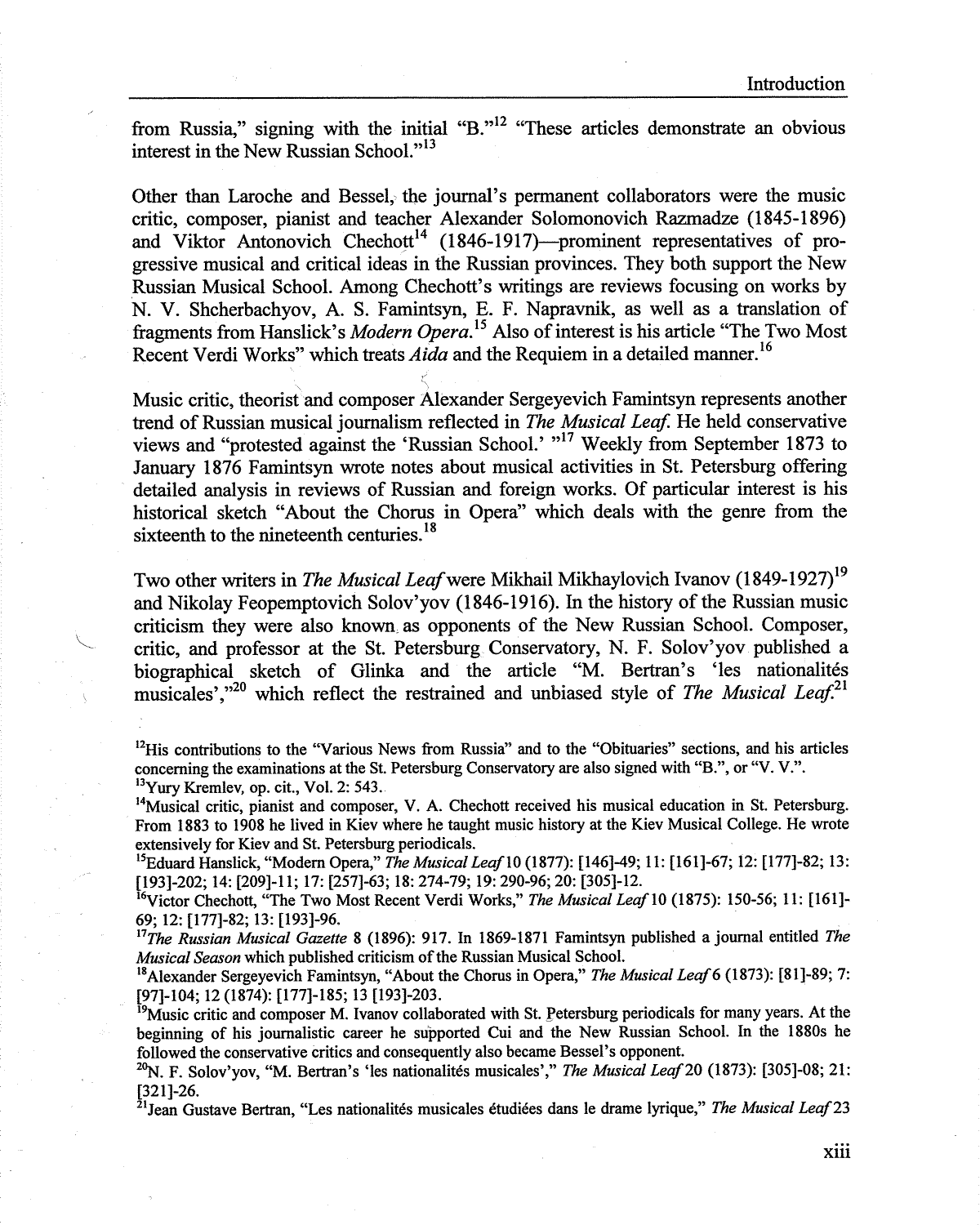from Russia," signing with the initial "B."<sup>12</sup> "These articles demonstrate an obvious interest in the New Russian School."<sup>13</sup>

Other than Laroche and Bessel, the journal's permanent collaborators were the music critic, composer, pianist and teacher Alexander Solomonovich Razmadze (1845-1896) and Viktor Antonovich Chechott<sup>14</sup> (1846-1917)---prominent representatives of progressive musical and critical ideas in the Russian provinces. They both support the New .Russian Musical School. Among Chechott's writings are reviews focusing on works by N. V. Shcherbachyov, A. S. Famintsyn, E. F. Napravnik, as well as a translation of fragments from Hanslick's *Modern Opera*.<sup>15</sup> Also of interest is his article "The Two Most" Recent Verdi Works" which treats *Aida* and the Requiem in a detailed manner. <sup>16</sup>

Music critic, theorist and composer Alexander Sergeyevich Famintsyn represents another trend of Russian musical journalism reflected in *The Musical Leaf.* He held conservative views and "protested against the 'Russian School.' "<sup>17</sup> Weekly from September 1873 to January 1876 Famintsyn wrote notes about musical activities in St. Petersburg offering detailed analysis in reviews of Russian and foreign works. Of particular interest is his historical sketch "About the Chorus in Opera" which deals with the genre from the sixteenth to the nineteenth centuries.<sup>18</sup>

Two other writers in *The Musical Leaf* were Mikhail Mikhaylovich Ivanov (1849-1927)<sup>19</sup> and Nikolay Feopemptovich Solov'yov (1846-1916). In the history of the Russian music criticism they were also known, as opponents of the New Russian School. Composer, critic, and professor at the St. Petersburg Conservatory, N. F. Solov'yov published a biographical sketch of Glinka and the article "M. Bertran's 'les nationalités musicales'."<sup>20</sup> which reflect the restrained and unbiased style of *The Musical Leaf*.<sup>21</sup>

<sup>12</sup>His contributions to the "Various News from Russia" and to the "Obituaries" sections, and his articles concerning the examinations at the St. Petersburg Conservatory are also signed with "B.", or "V. V.". <sup>13</sup>Yury Kremlev, op. cit., Vol. 2: 543.

<sup>14</sup>Musical critic, pianist and composer, V. A. Chechott received his musical education in St. Petersburg. From 1883 to 1908 he lived in Kiev where he taught music history at the Kiev Musical College. He wrote extensively for Kiev and St. Petersburg periodicals.

<sup>15</sup>Eduard Hanslick, "Modem Opera," *The Musical Lea/IO* (1877): [146]-49; 11: [161]-67; 12: [177]-82; 13: [193]-202; 14: [209]-l 1; 17: [257]-63; 18: 274-79; 19: 290-96; 20: [305]-12.

<sup>16</sup>Victor Chechott, "The Two Most Recent Verdi Works," The Musical Leaf 10 (1875): 150-56; 11: [161]-69; 12: [177]-82; 13: [193]-96.

<sup>11</sup>*The Russian Musical Gazette* 8 (1896): 917. In 1869-1871 Famintsyn published a journal entitled *The Musical Season* which published criticism of the Russian Musical School.

<sup>18</sup>Alexander Sergeyevich Famintsyn, "About the Chorus in Opera," *The Musical Lea/6* (1873): [81]-89; 7: [97]-104; 12 (1874): [177]-185; 13 [193]-203.

<sup>19</sup>Music critic and composer M. Ivanov collaborated with St. Petersburg periodicals for many years. At the beginning of his journalistic career he supported Cui and the New Russian School. In the 1880s he followed the conservative critics and consequently also became Bessel's opponent.

<sup>20</sup>N. F. Solov'yov, "M. Bertran's 'les nationalités musicales'," *The Musical Leaf* 20 (1873): [305]-08; 21: [321]-26.

<sup>21</sup>Jean Gustave Bertran, "Les nationalités musicales étudiées dans le drame lyrique," *The Musical Leaf* 23

xiii